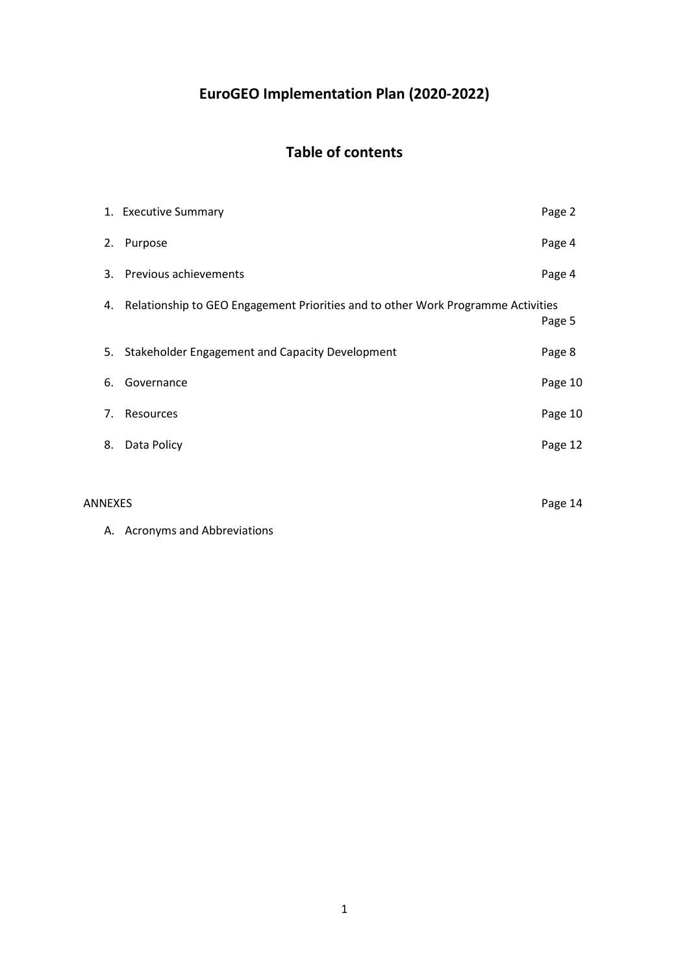# **EuroGEO Implementation Plan (2020-2022)**

# **Table of contents**

|         | 1. Executive Summary                                                                | Page 2  |
|---------|-------------------------------------------------------------------------------------|---------|
| 2.      | Purpose                                                                             | Page 4  |
|         | 3. Previous achievements                                                            | Page 4  |
|         | 4. Relationship to GEO Engagement Priorities and to other Work Programme Activities | Page 5  |
|         | 5. Stakeholder Engagement and Capacity Development                                  | Page 8  |
| 6.      | Governance                                                                          | Page 10 |
| 7.      | Resources                                                                           | Page 10 |
| 8.      | Data Policy                                                                         | Page 12 |
|         |                                                                                     |         |
| ANNEXES |                                                                                     | Page 14 |

A. Acronyms and Abbreviations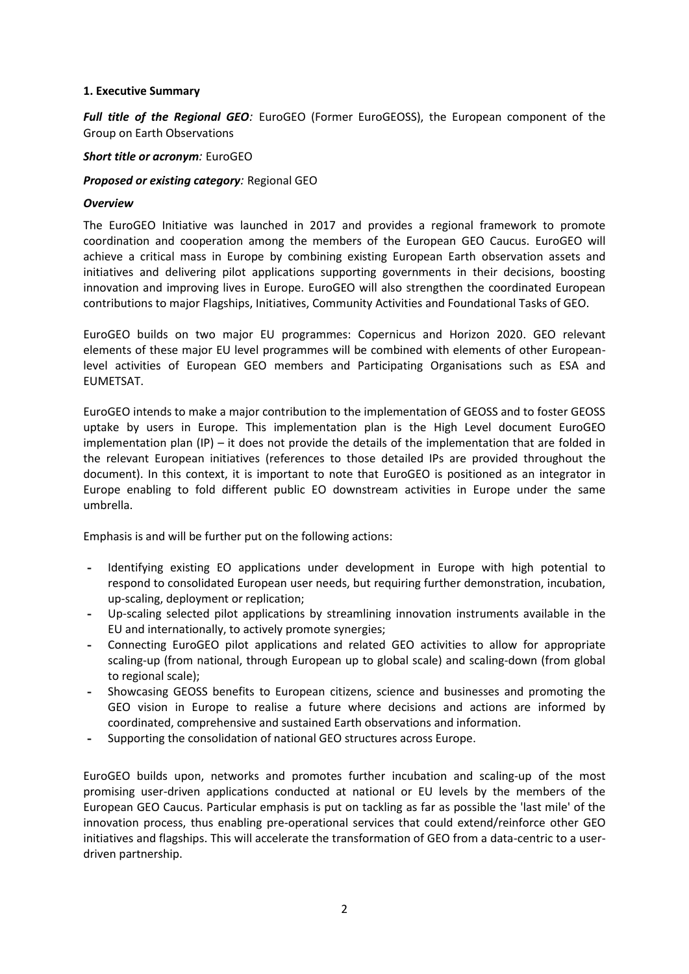#### **1. Executive Summary**

*Full title of the Regional GEO:* EuroGEO (Former EuroGEOSS), the European component of the Group on Earth Observations

#### *Short title or acronym:* EuroGEO

#### *Proposed or existing category:* Regional GEO

#### *Overview*

The EuroGEO Initiative was launched in 2017 and provides a regional framework to promote coordination and cooperation among the members of the European GEO Caucus. EuroGEO will achieve a critical mass in Europe by combining existing European Earth observation assets and initiatives and delivering pilot applications supporting governments in their decisions, boosting innovation and improving lives in Europe. EuroGEO will also strengthen the coordinated European contributions to major Flagships, Initiatives, Community Activities and Foundational Tasks of GEO.

EuroGEO builds on two major EU programmes: Copernicus and Horizon 2020. GEO relevant elements of these major EU level programmes will be combined with elements of other Europeanlevel activities of European GEO members and Participating Organisations such as ESA and EUMETSAT.

EuroGEO intends to make a major contribution to the implementation of GEOSS and to foster GEOSS uptake by users in Europe. This implementation plan is the High Level document EuroGEO implementation plan (IP) – it does not provide the details of the implementation that are folded in the relevant European initiatives (references to those detailed IPs are provided throughout the document). In this context, it is important to note that EuroGEO is positioned as an integrator in Europe enabling to fold different public EO downstream activities in Europe under the same umbrella.

Emphasis is and will be further put on the following actions:

- **-** Identifying existing EO applications under development in Europe with high potential to respond to consolidated European user needs, but requiring further demonstration, incubation, up-scaling, deployment or replication;
- **-** Up-scaling selected pilot applications by streamlining innovation instruments available in the EU and internationally, to actively promote synergies;
- **-** Connecting EuroGEO pilot applications and related GEO activities to allow for appropriate scaling-up (from national, through European up to global scale) and scaling-down (from global to regional scale);
- **-** Showcasing GEOSS benefits to European citizens, science and businesses and promoting the GEO vision in Europe to realise a future where decisions and actions are informed by coordinated, comprehensive and sustained Earth observations and information.
- **-** Supporting the consolidation of national GEO structures across Europe.

EuroGEO builds upon, networks and promotes further incubation and scaling-up of the most promising user-driven applications conducted at national or EU levels by the members of the European GEO Caucus. Particular emphasis is put on tackling as far as possible the 'last mile' of the innovation process, thus enabling pre-operational services that could extend/reinforce other GEO initiatives and flagships. This will accelerate the transformation of GEO from a data-centric to a userdriven partnership.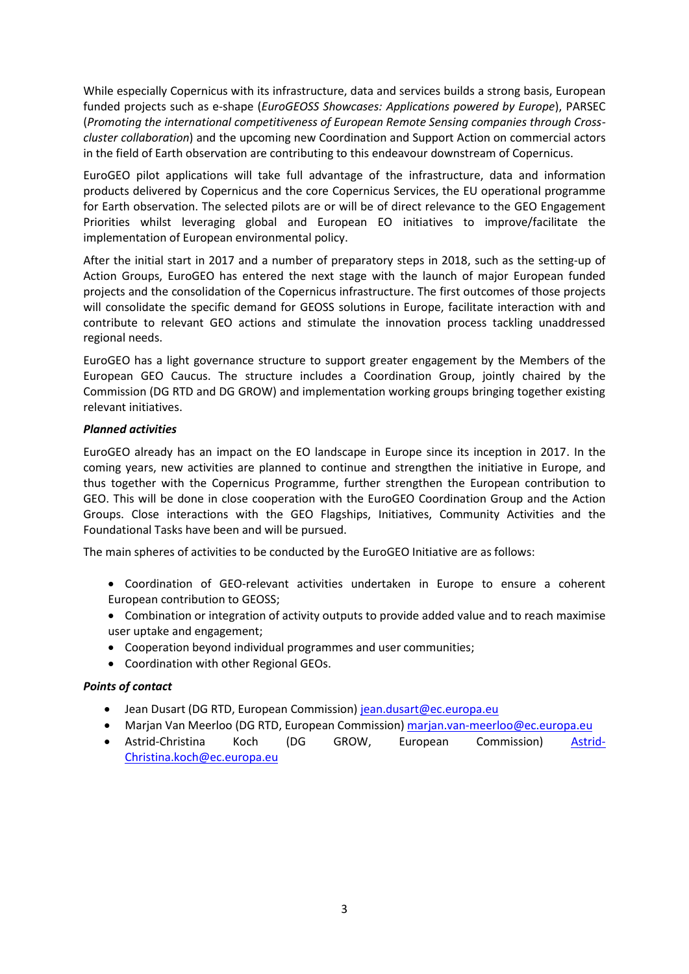While especially Copernicus with its infrastructure, data and services builds a strong basis, European funded projects such as e-shape (*EuroGEOSS Showcases: Applications powered by Europe*), PARSEC (*Promoting the international competitiveness of European Remote Sensing companies through Crosscluster collaboration*) and the upcoming new Coordination and Support Action on commercial actors in the field of Earth observation are contributing to this endeavour downstream of Copernicus.

EuroGEO pilot applications will take full advantage of the infrastructure, data and information products delivered by Copernicus and the core Copernicus Services, the EU operational programme for Earth observation. The selected pilots are or will be of direct relevance to the GEO Engagement Priorities whilst leveraging global and European EO initiatives to improve/facilitate the implementation of European environmental policy.

After the initial start in 2017 and a number of preparatory steps in 2018, such as the setting-up of Action Groups, EuroGEO has entered the next stage with the launch of major European funded projects and the consolidation of the Copernicus infrastructure. The first outcomes of those projects will consolidate the specific demand for GEOSS solutions in Europe, facilitate interaction with and contribute to relevant GEO actions and stimulate the innovation process tackling unaddressed regional needs.

EuroGEO has a light governance structure to support greater engagement by the Members of the European GEO Caucus. The structure includes a Coordination Group, jointly chaired by the Commission (DG RTD and DG GROW) and implementation working groups bringing together existing relevant initiatives.

#### *Planned activities*

EuroGEO already has an impact on the EO landscape in Europe since its inception in 2017. In the coming years, new activities are planned to continue and strengthen the initiative in Europe, and thus together with the Copernicus Programme, further strengthen the European contribution to GEO. This will be done in close cooperation with the EuroGEO Coordination Group and the Action Groups. Close interactions with the GEO Flagships, Initiatives, Community Activities and the Foundational Tasks have been and will be pursued.

The main spheres of activities to be conducted by the EuroGEO Initiative are as follows:

- Coordination of GEO-relevant activities undertaken in Europe to ensure a coherent European contribution to GEOSS;
- Combination or integration of activity outputs to provide added value and to reach maximise user uptake and engagement;
- Cooperation beyond individual programmes and user communities;
- Coordination with other Regional GEOs.

#### *Points of contact*

- Jean Dusart (DG RTD, European Commission) [jean.dusart@ec.europa.eu](mailto:jean.dusart@ec.europa.eu)
- Marjan Van Meerloo (DG RTD, European Commission) [marjan.van-meerloo@ec.europa.eu](mailto:marjan.van-meerloo@ec.europa.eu)
- Astrid-Christina Koch (DG GROW, European Commission) [Astrid-](mailto:Astrid-Christina.koch@ec.europa.eu)[Christina.koch@ec.europa.eu](mailto:Astrid-Christina.koch@ec.europa.eu)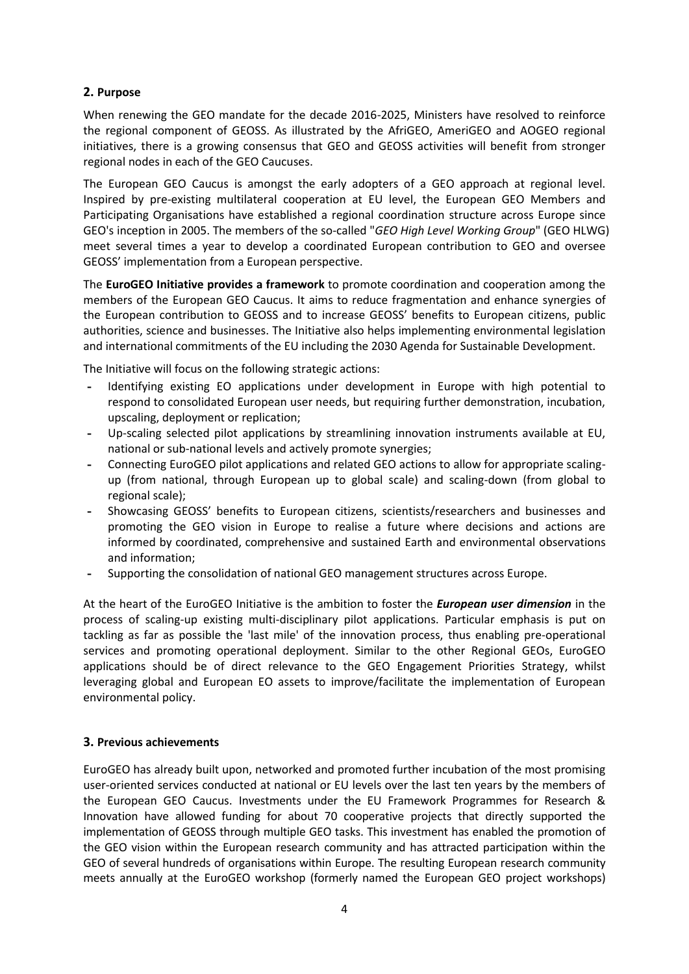# **2. Purpose**

When renewing the GEO mandate for the decade 2016-2025, Ministers have resolved to reinforce the regional component of GEOSS. As illustrated by the AfriGEO, AmeriGEO and AOGEO regional initiatives, there is a growing consensus that GEO and GEOSS activities will benefit from stronger regional nodes in each of the GEO Caucuses.

The European GEO Caucus is amongst the early adopters of a GEO approach at regional level. Inspired by pre-existing multilateral cooperation at EU level, the European GEO Members and Participating Organisations have established a regional coordination structure across Europe since GEO's inception in 2005. The members of the so-called "*GEO High Level Working Group*" (GEO HLWG) meet several times a year to develop a coordinated European contribution to GEO and oversee GEOSS' implementation from a European perspective.

The **EuroGEO Initiative provides a framework** to promote coordination and cooperation among the members of the European GEO Caucus. It aims to reduce fragmentation and enhance synergies of the European contribution to GEOSS and to increase GEOSS' benefits to European citizens, public authorities, science and businesses. The Initiative also helps implementing environmental legislation and international commitments of the EU including the 2030 Agenda for Sustainable Development.

The Initiative will focus on the following strategic actions:

- **-** Identifying existing EO applications under development in Europe with high potential to respond to consolidated European user needs, but requiring further demonstration, incubation, upscaling, deployment or replication;
- **-** Up-scaling selected pilot applications by streamlining innovation instruments available at EU, national or sub-national levels and actively promote synergies;
- **-** Connecting EuroGEO pilot applications and related GEO actions to allow for appropriate scalingup (from national, through European up to global scale) and scaling-down (from global to regional scale);
- **-** Showcasing GEOSS' benefits to European citizens, scientists/researchers and businesses and promoting the GEO vision in Europe to realise a future where decisions and actions are informed by coordinated, comprehensive and sustained Earth and environmental observations and information;
- **-** Supporting the consolidation of national GEO management structures across Europe.

At the heart of the EuroGEO Initiative is the ambition to foster the *European user dimension* in the process of scaling-up existing multi-disciplinary pilot applications. Particular emphasis is put on tackling as far as possible the 'last mile' of the innovation process, thus enabling pre-operational services and promoting operational deployment. Similar to the other Regional GEOs, EuroGEO applications should be of direct relevance to the GEO Engagement Priorities Strategy, whilst leveraging global and European EO assets to improve/facilitate the implementation of European environmental policy.

# **3. Previous achievements**

EuroGEO has already built upon, networked and promoted further incubation of the most promising user-oriented services conducted at national or EU levels over the last ten years by the members of the European GEO Caucus. Investments under the EU Framework Programmes for Research & Innovation have allowed funding for about 70 cooperative projects that directly supported the implementation of GEOSS through multiple GEO tasks. This investment has enabled the promotion of the GEO vision within the European research community and has attracted participation within the GEO of several hundreds of organisations within Europe. The resulting European research community meets annually at the EuroGEO workshop (formerly named the European GEO project workshops)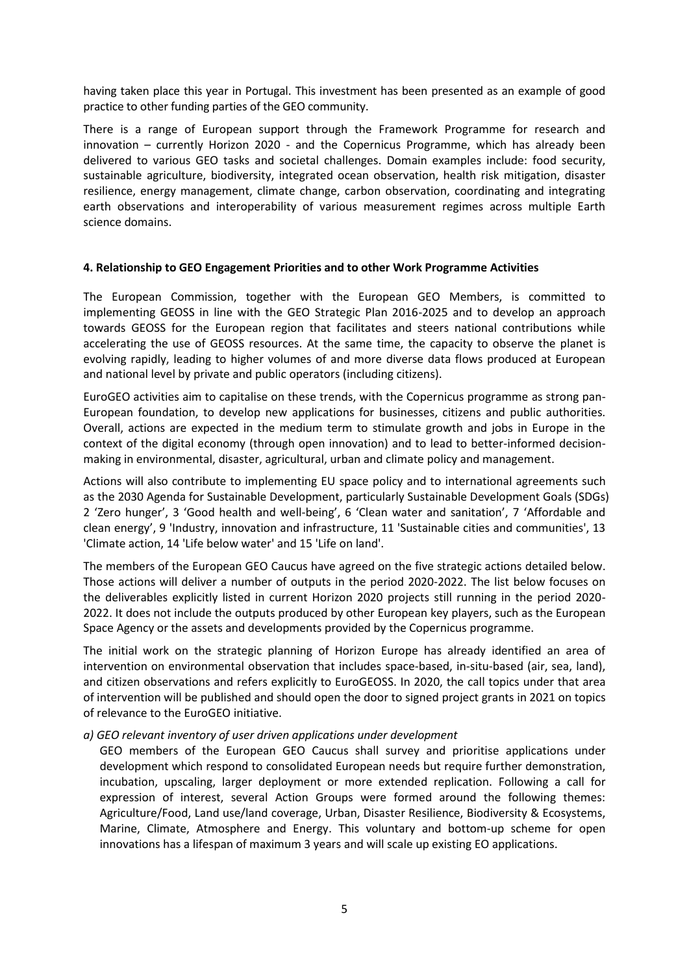having taken place this year in Portugal. This investment has been presented as an example of good practice to other funding parties of the GEO community.

There is a range of European support through the Framework Programme for research and innovation – currently Horizon 2020 - and the Copernicus Programme, which has already been delivered to various GEO tasks and societal challenges. Domain examples include: food security, sustainable agriculture, biodiversity, integrated ocean observation, health risk mitigation, disaster resilience, energy management, climate change, carbon observation, coordinating and integrating earth observations and interoperability of various measurement regimes across multiple Earth science domains.

#### **4. Relationship to GEO Engagement Priorities and to other Work Programme Activities**

The European Commission, together with the European GEO Members, is committed to implementing GEOSS in line with the GEO Strategic Plan 2016-2025 and to develop an approach towards GEOSS for the European region that facilitates and steers national contributions while accelerating the use of GEOSS resources. At the same time, the capacity to observe the planet is evolving rapidly, leading to higher volumes of and more diverse data flows produced at European and national level by private and public operators (including citizens).

EuroGEO activities aim to capitalise on these trends, with the Copernicus programme as strong pan-European foundation, to develop new applications for businesses, citizens and public authorities. Overall, actions are expected in the medium term to stimulate growth and jobs in Europe in the context of the digital economy (through open innovation) and to lead to better-informed decisionmaking in environmental, disaster, agricultural, urban and climate policy and management.

Actions will also contribute to implementing EU space policy and to international agreements such as the 2030 Agenda for Sustainable Development, particularly Sustainable Development Goals (SDGs) 2 'Zero hunger', 3 'Good health and well-being', 6 'Clean water and sanitation', 7 'Affordable and clean energy', 9 'Industry, innovation and infrastructure, 11 'Sustainable cities and communities', 13 'Climate action, 14 'Life below water' and 15 'Life on land'.

The members of the European GEO Caucus have agreed on the five strategic actions detailed below. Those actions will deliver a number of outputs in the period 2020-2022. The list below focuses on the deliverables explicitly listed in current Horizon 2020 projects still running in the period 2020- 2022. It does not include the outputs produced by other European key players, such as the European Space Agency or the assets and developments provided by the Copernicus programme.

The initial work on the strategic planning of Horizon Europe has already identified an area of intervention on environmental observation that includes space-based, in-situ-based (air, sea, land), and citizen observations and refers explicitly to EuroGEOSS. In 2020, the call topics under that area of intervention will be published and should open the door to signed project grants in 2021 on topics of relevance to the EuroGEO initiative.

#### *a) GEO relevant inventory of user driven applications under development*

GEO members of the European GEO Caucus shall survey and prioritise applications under development which respond to consolidated European needs but require further demonstration, incubation, upscaling, larger deployment or more extended replication. Following a call for expression of interest, several Action Groups were formed around the following themes: Agriculture/Food, Land use/land coverage, Urban, Disaster Resilience, Biodiversity & Ecosystems, Marine, Climate, Atmosphere and Energy. This voluntary and bottom-up scheme for open innovations has a lifespan of maximum 3 years and will scale up existing EO applications.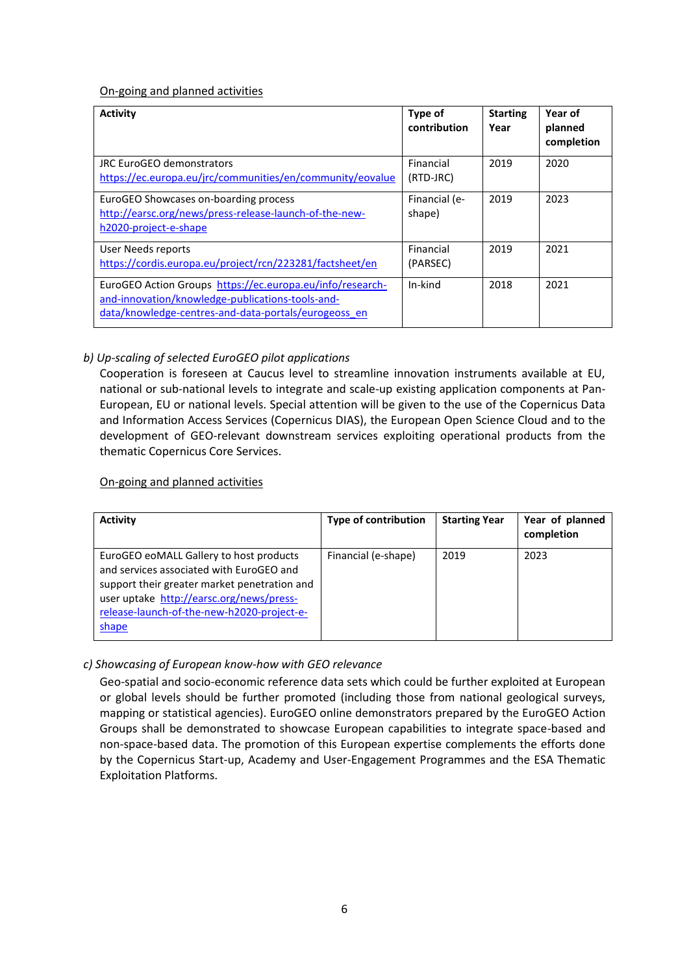#### On-going and planned activities

| <b>Activity</b>                                                                                                                                                       | Type of<br>contribution | <b>Starting</b><br>Year | Year of<br>planned<br>completion |
|-----------------------------------------------------------------------------------------------------------------------------------------------------------------------|-------------------------|-------------------------|----------------------------------|
| JRC EuroGEO demonstrators<br>https://ec.europa.eu/jrc/communities/en/community/eovalue                                                                                | Financial<br>(RTD-JRC)  | 2019                    | 2020                             |
| EuroGEO Showcases on-boarding process<br>http://earsc.org/news/press-release-launch-of-the-new-<br>h2020-project-e-shape                                              | Financial (e-<br>shape) | 2019                    | 2023                             |
| User Needs reports<br>https://cordis.europa.eu/project/rcn/223281/factsheet/en                                                                                        | Financial<br>(PARSEC)   | 2019                    | 2021                             |
| EuroGEO Action Groups https://ec.europa.eu/info/research-<br>and-innovation/knowledge-publications-tools-and-<br>data/knowledge-centres-and-data-portals/eurogeoss en | In-kind                 | 2018                    | 2021                             |

# *b) Up-scaling of selected EuroGEO pilot applications*

Cooperation is foreseen at Caucus level to streamline innovation instruments available at EU, national or sub-national levels to integrate and scale-up existing application components at Pan-European, EU or national levels. Special attention will be given to the use of the Copernicus Data and Information Access Services (Copernicus DIAS), the European Open Science Cloud and to the development of GEO-relevant downstream services exploiting operational products from the thematic Copernicus Core Services.

#### On-going and planned activities

| <b>Activity</b>                                                                                                                                                                                                                        | <b>Type of contribution</b> | <b>Starting Year</b> | Year of planned<br>completion |
|----------------------------------------------------------------------------------------------------------------------------------------------------------------------------------------------------------------------------------------|-----------------------------|----------------------|-------------------------------|
| EuroGEO eoMALL Gallery to host products<br>and services associated with EuroGEO and<br>support their greater market penetration and<br>user uptake http://earsc.org/news/press-<br>release-launch-of-the-new-h2020-project-e-<br>shape | Financial (e-shape)         | 2019                 | 2023                          |

# *c) Showcasing of European know-how with GEO relevance*

Geo-spatial and socio-economic reference data sets which could be further exploited at European or global levels should be further promoted (including those from national geological surveys, mapping or statistical agencies). EuroGEO online demonstrators prepared by the EuroGEO Action Groups shall be demonstrated to showcase European capabilities to integrate space-based and non-space-based data. The promotion of this European expertise complements the efforts done by the Copernicus Start-up, Academy and User-Engagement Programmes and the ESA Thematic Exploitation Platforms.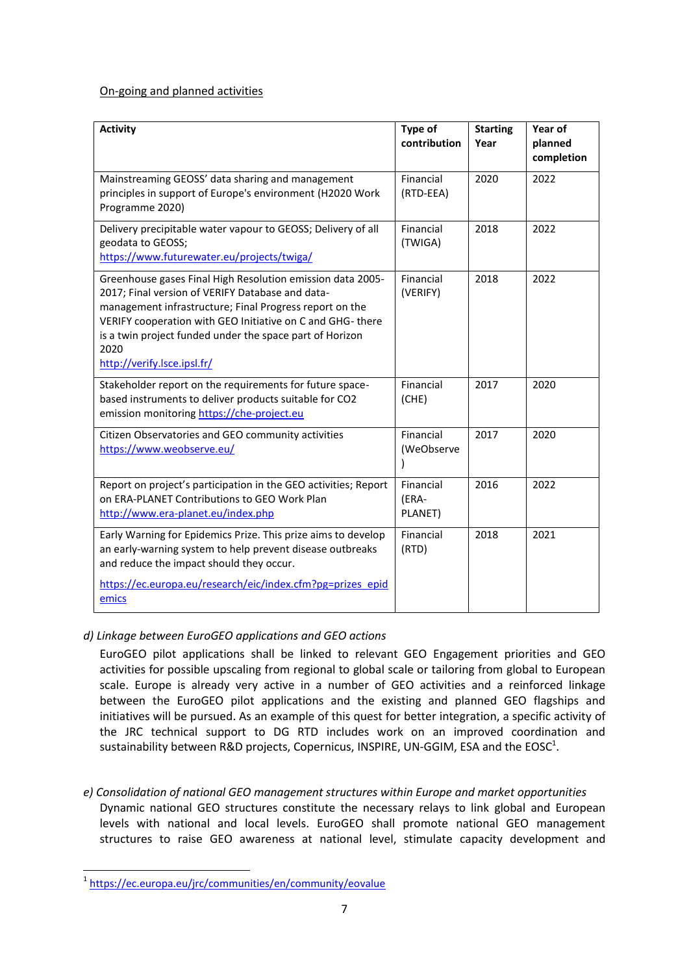#### On-going and planned activities

| <b>Activity</b>                                                                                                                                                                                                                                                                                                                           | Type of<br>contribution       | <b>Starting</b><br>Year | Year of<br>planned<br>completion |
|-------------------------------------------------------------------------------------------------------------------------------------------------------------------------------------------------------------------------------------------------------------------------------------------------------------------------------------------|-------------------------------|-------------------------|----------------------------------|
| Mainstreaming GEOSS' data sharing and management<br>principles in support of Europe's environment (H2020 Work<br>Programme 2020)                                                                                                                                                                                                          | Financial<br>(RTD-EEA)        | 2020                    | 2022                             |
| Delivery precipitable water vapour to GEOSS; Delivery of all<br>geodata to GEOSS;<br>https://www.futurewater.eu/projects/twiga/                                                                                                                                                                                                           | Financial<br>(TWIGA)          | 2018                    | 2022                             |
| Greenhouse gases Final High Resolution emission data 2005-<br>2017; Final version of VERIFY Database and data-<br>management infrastructure; Final Progress report on the<br>VERIFY cooperation with GEO Initiative on C and GHG-there<br>is a twin project funded under the space part of Horizon<br>2020<br>http://verify.lsce.ipsl.fr/ | Financial<br>(VERIFY)         | 2018                    | 2022                             |
| Stakeholder report on the requirements for future space-<br>based instruments to deliver products suitable for CO2<br>emission monitoring https://che-project.eu                                                                                                                                                                          | Financial<br>(CHE)            | 2017                    | 2020                             |
| Citizen Observatories and GEO community activities<br>https://www.weobserve.eu/                                                                                                                                                                                                                                                           | Financial<br>(WeObserve       | 2017                    | 2020                             |
| Report on project's participation in the GEO activities; Report<br>on ERA-PLANET Contributions to GEO Work Plan<br>http://www.era-planet.eu/index.php                                                                                                                                                                                     | Financial<br>(ERA-<br>PLANET) | 2016                    | 2022                             |
| Early Warning for Epidemics Prize. This prize aims to develop<br>an early-warning system to help prevent disease outbreaks<br>and reduce the impact should they occur.<br>https://ec.europa.eu/research/eic/index.cfm?pg=prizes_epid                                                                                                      | Financial<br>(RTD)            | 2018                    | 2021                             |
| emics                                                                                                                                                                                                                                                                                                                                     |                               |                         |                                  |

# *d) Linkage between EuroGEO applications and GEO actions*

EuroGEO pilot applications shall be linked to relevant GEO Engagement priorities and GEO activities for possible upscaling from regional to global scale or tailoring from global to European scale. Europe is already very active in a number of GEO activities and a reinforced linkage between the EuroGEO pilot applications and the existing and planned GEO flagships and initiatives will be pursued. As an example of this quest for better integration, a specific activity of the JRC technical support to DG RTD includes work on an improved coordination and sustainability between R&D projects, Copernicus, INSPIRE, UN-GGIM, ESA and the EOSC<sup>1</sup>.

*e) Consolidation of national GEO management structures within Europe and market opportunities* Dynamic national GEO structures constitute the necessary relays to link global and European levels with national and local levels. EuroGEO shall promote national GEO management structures to raise GEO awareness at national level, stimulate capacity development and

 1 <https://ec.europa.eu/jrc/communities/en/community/eovalue>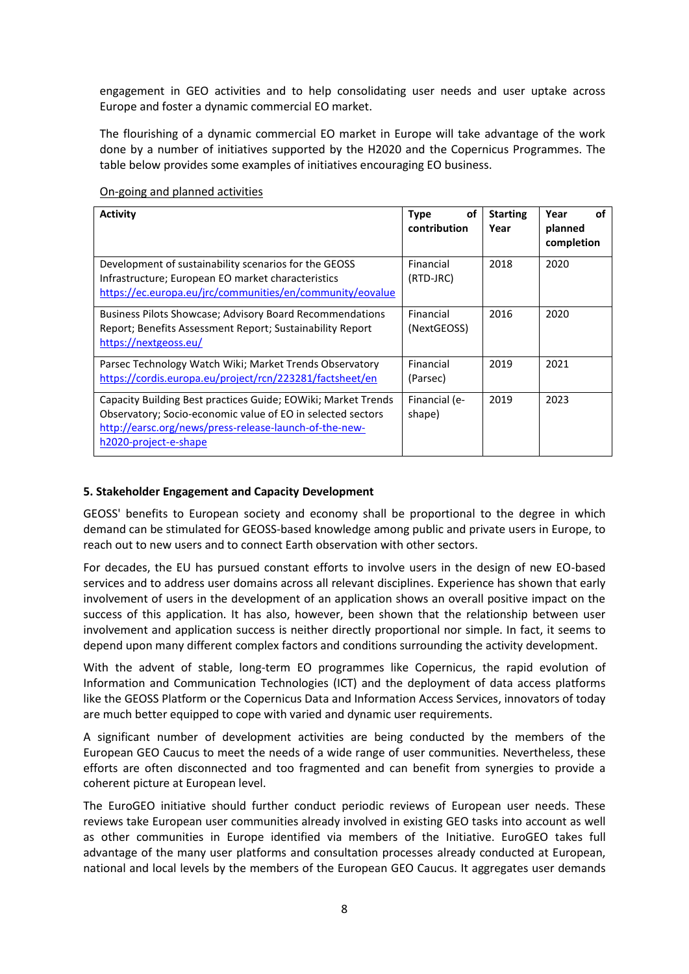engagement in GEO activities and to help consolidating user needs and user uptake across Europe and foster a dynamic commercial EO market.

The flourishing of a dynamic commercial EO market in Europe will take advantage of the work done by a number of initiatives supported by the H2020 and the Copernicus Programmes. The table below provides some examples of initiatives encouraging EO business.

| <b>Activity</b>                                                                                                                                                                                                 | οf<br><b>Type</b><br>contribution | <b>Starting</b><br>Year | Year<br>Ωf<br>planned<br>completion |
|-----------------------------------------------------------------------------------------------------------------------------------------------------------------------------------------------------------------|-----------------------------------|-------------------------|-------------------------------------|
| Development of sustainability scenarios for the GEOSS<br>Infrastructure; European EO market characteristics<br>https://ec.europa.eu/jrc/communities/en/community/eovalue                                        | Financial<br>(RTD-JRC)            | 2018                    | 2020                                |
| <b>Business Pilots Showcase; Advisory Board Recommendations</b><br>Report; Benefits Assessment Report; Sustainability Report<br>https://nextgeoss.eu/                                                           | Financial<br>(NextGEOSS)          | 2016                    | 2020                                |
| Parsec Technology Watch Wiki; Market Trends Observatory<br>https://cordis.europa.eu/project/rcn/223281/factsheet/en                                                                                             | Financial<br>(Parsec)             | 2019                    | 2021                                |
| Capacity Building Best practices Guide; EOWiki; Market Trends<br>Observatory; Socio-economic value of EO in selected sectors<br>http://earsc.org/news/press-release-launch-of-the-new-<br>h2020-project-e-shape | Financial (e-<br>shape)           | 2019                    | 2023                                |

### On-going and planned activities

#### **5. Stakeholder Engagement and Capacity Development**

GEOSS' benefits to European society and economy shall be proportional to the degree in which demand can be stimulated for GEOSS-based knowledge among public and private users in Europe, to reach out to new users and to connect Earth observation with other sectors.

For decades, the EU has pursued constant efforts to involve users in the design of new EO-based services and to address user domains across all relevant disciplines. Experience has shown that early involvement of users in the development of an application shows an overall positive impact on the success of this application. It has also, however, been shown that the relationship between user involvement and application success is neither directly proportional nor simple. In fact, it seems to depend upon many different complex factors and conditions surrounding the activity development.

With the advent of stable, long-term EO programmes like Copernicus, the rapid evolution of Information and Communication Technologies (ICT) and the deployment of data access platforms like the GEOSS Platform or the Copernicus Data and Information Access Services, innovators of today are much better equipped to cope with varied and dynamic user requirements.

A significant number of development activities are being conducted by the members of the European GEO Caucus to meet the needs of a wide range of user communities. Nevertheless, these efforts are often disconnected and too fragmented and can benefit from synergies to provide a coherent picture at European level.

The EuroGEO initiative should further conduct periodic reviews of European user needs. These reviews take European user communities already involved in existing GEO tasks into account as well as other communities in Europe identified via members of the Initiative. EuroGEO takes full advantage of the many user platforms and consultation processes already conducted at European, national and local levels by the members of the European GEO Caucus. It aggregates user demands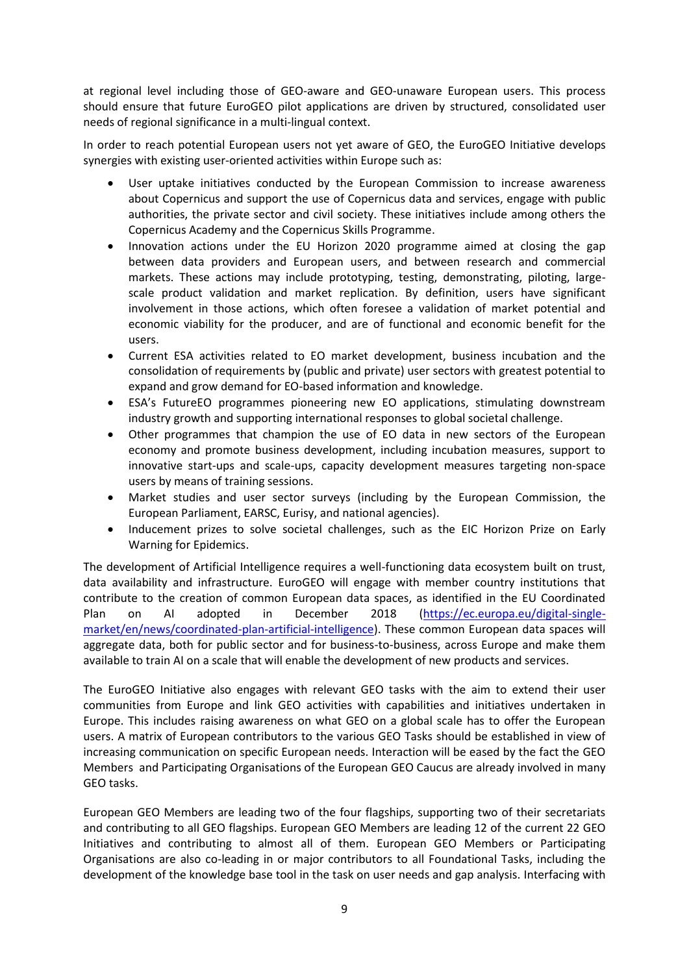at regional level including those of GEO-aware and GEO-unaware European users. This process should ensure that future EuroGEO pilot applications are driven by structured, consolidated user needs of regional significance in a multi-lingual context.

In order to reach potential European users not yet aware of GEO, the EuroGEO Initiative develops synergies with existing user-oriented activities within Europe such as:

- User uptake initiatives conducted by the European Commission to increase awareness about Copernicus and support the use of Copernicus data and services, engage with public authorities, the private sector and civil society. These initiatives include among others the Copernicus Academy and the Copernicus Skills Programme.
- Innovation actions under the EU Horizon 2020 programme aimed at closing the gap between data providers and European users, and between research and commercial markets. These actions may include prototyping, testing, demonstrating, piloting, largescale product validation and market replication. By definition, users have significant involvement in those actions, which often foresee a validation of market potential and economic viability for the producer, and are of functional and economic benefit for the users.
- Current ESA activities related to EO market development, business incubation and the consolidation of requirements by (public and private) user sectors with greatest potential to expand and grow demand for EO-based information and knowledge.
- ESA's FutureEO programmes pioneering new EO applications, stimulating downstream industry growth and supporting international responses to global societal challenge.
- Other programmes that champion the use of EO data in new sectors of the European economy and promote business development, including incubation measures, support to innovative start-ups and scale-ups, capacity development measures targeting non-space users by means of training sessions.
- Market studies and user sector surveys (including by the European Commission, the European Parliament, EARSC, Eurisy, and national agencies).
- Inducement prizes to solve societal challenges, such as the EIC Horizon Prize on Early Warning for Epidemics.

The development of Artificial Intelligence requires a well-functioning data ecosystem built on trust, data availability and infrastructure. EuroGEO will engage with member country institutions that contribute to the creation of common European data spaces, as identified in the EU Coordinated Plan on AI adopted in December 2018 [\(https://ec.europa.eu/digital-single](https://ec.europa.eu/digital-single-market/en/news/coordinated-plan-artificial-intelligence)[market/en/news/coordinated-plan-artificial-intelligence\)](https://ec.europa.eu/digital-single-market/en/news/coordinated-plan-artificial-intelligence). These common European data spaces will aggregate data, both for public sector and for business-to-business, across Europe and make them available to train AI on a scale that will enable the development of new products and services.

The EuroGEO Initiative also engages with relevant GEO tasks with the aim to extend their user communities from Europe and link GEO activities with capabilities and initiatives undertaken in Europe. This includes raising awareness on what GEO on a global scale has to offer the European users. A matrix of European contributors to the various GEO Tasks should be established in view of increasing communication on specific European needs. Interaction will be eased by the fact the GEO Members and Participating Organisations of the European GEO Caucus are already involved in many GEO tasks.

European GEO Members are leading two of the four flagships, supporting two of their secretariats and contributing to all GEO flagships. European GEO Members are leading 12 of the current 22 GEO Initiatives and contributing to almost all of them. European GEO Members or Participating Organisations are also co-leading in or major contributors to all Foundational Tasks, including the development of the knowledge base tool in the task on user needs and gap analysis. Interfacing with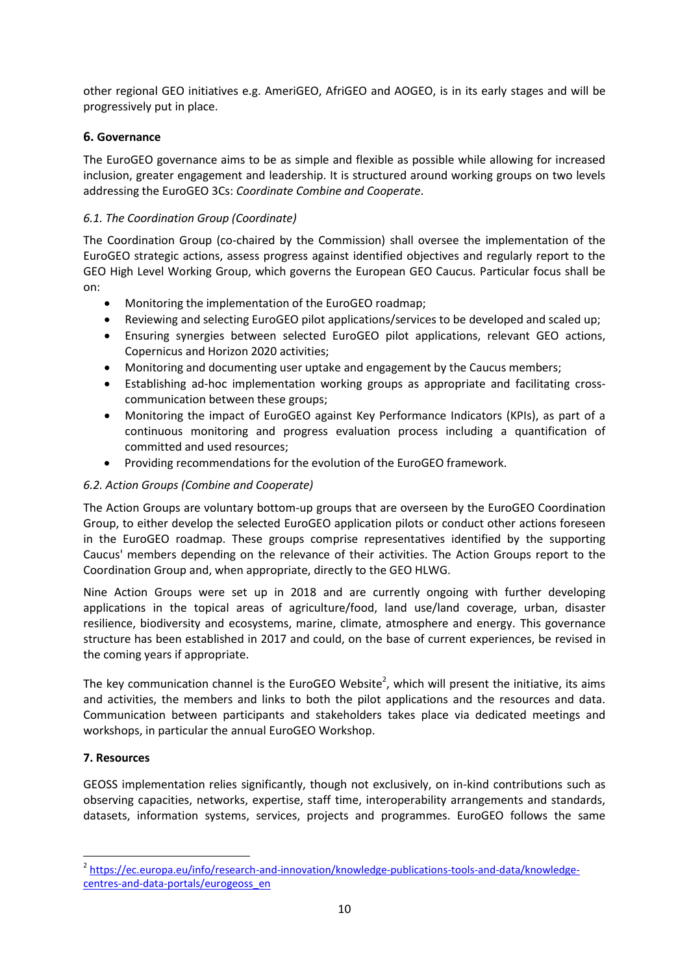other regional GEO initiatives e.g. AmeriGEO, AfriGEO and AOGEO, is in its early stages and will be progressively put in place.

# **6. Governance**

The EuroGEO governance aims to be as simple and flexible as possible while allowing for increased inclusion, greater engagement and leadership. It is structured around working groups on two levels addressing the EuroGEO 3Cs: *Coordinate Combine and Cooperate*.

# *6.1. The Coordination Group (Coordinate)*

The Coordination Group (co-chaired by the Commission) shall oversee the implementation of the EuroGEO strategic actions, assess progress against identified objectives and regularly report to the GEO High Level Working Group, which governs the European GEO Caucus. Particular focus shall be on:

- Monitoring the implementation of the EuroGEO roadmap;
- Reviewing and selecting EuroGEO pilot applications/services to be developed and scaled up;
- Ensuring synergies between selected EuroGEO pilot applications, relevant GEO actions, Copernicus and Horizon 2020 activities;
- Monitoring and documenting user uptake and engagement by the Caucus members;
- Establishing ad-hoc implementation working groups as appropriate and facilitating crosscommunication between these groups;
- Monitoring the impact of EuroGEO against Key Performance Indicators (KPIs), as part of a continuous monitoring and progress evaluation process including a quantification of committed and used resources;
- Providing recommendations for the evolution of the EuroGEO framework.

# *6.2. Action Groups (Combine and Cooperate)*

The Action Groups are voluntary bottom-up groups that are overseen by the EuroGEO Coordination Group, to either develop the selected EuroGEO application pilots or conduct other actions foreseen in the EuroGEO roadmap. These groups comprise representatives identified by the supporting Caucus' members depending on the relevance of their activities. The Action Groups report to the Coordination Group and, when appropriate, directly to the GEO HLWG.

Nine Action Groups were set up in 2018 and are currently ongoing with further developing applications in the topical areas of agriculture/food, land use/land coverage, urban, disaster resilience, biodiversity and ecosystems, marine, climate, atmosphere and energy. This governance structure has been established in 2017 and could, on the base of current experiences, be revised in the coming years if appropriate.

The key communication channel is the EuroGEO Website<sup>2</sup>, which will present the initiative, its aims and activities, the members and links to both the pilot applications and the resources and data. Communication between participants and stakeholders takes place via dedicated meetings and workshops, in particular the annual EuroGEO Workshop.

# **7. Resources**

**.** 

GEOSS implementation relies significantly, though not exclusively, on in-kind contributions such as observing capacities, networks, expertise, staff time, interoperability arrangements and standards, datasets, information systems, services, projects and programmes. EuroGEO follows the same

<sup>&</sup>lt;sup>2</sup> [https://ec.europa.eu/info/research-and-innovation/knowledge-publications-tools-and-data/knowledge](https://ec.europa.eu/info/research-and-innovation/knowledge-publications-tools-and-data/knowledge-centres-and-data-portals/eurogeoss_en)[centres-and-data-portals/eurogeoss\\_en](https://ec.europa.eu/info/research-and-innovation/knowledge-publications-tools-and-data/knowledge-centres-and-data-portals/eurogeoss_en)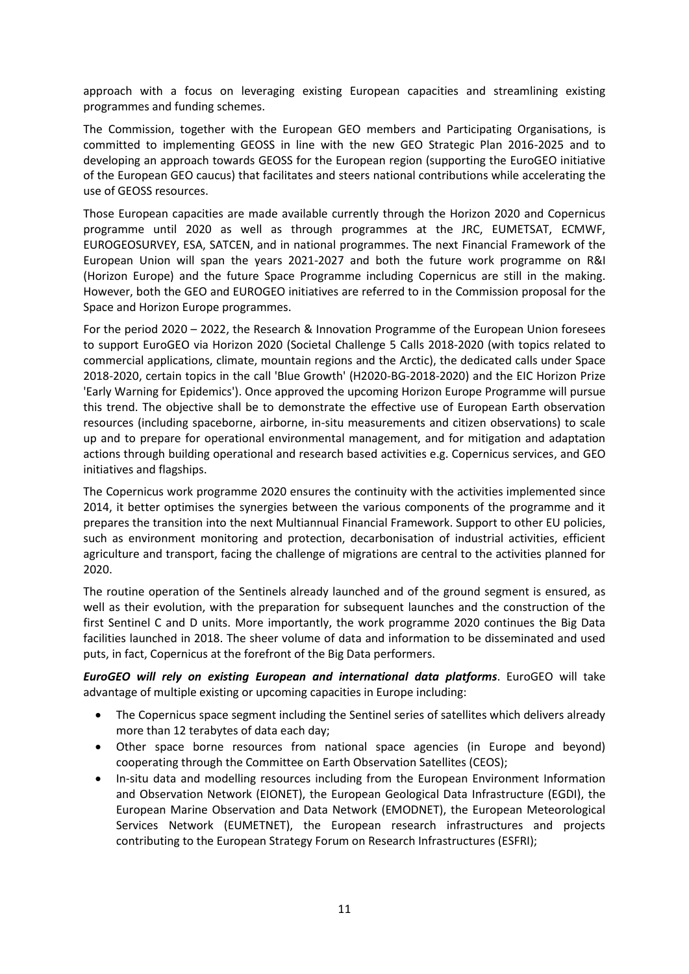approach with a focus on leveraging existing European capacities and streamlining existing programmes and funding schemes.

The Commission, together with the European GEO members and Participating Organisations, is committed to implementing GEOSS in line with the new GEO Strategic Plan 2016-2025 and to developing an approach towards GEOSS for the European region (supporting the EuroGEO initiative of the European GEO caucus) that facilitates and steers national contributions while accelerating the use of GEOSS resources.

Those European capacities are made available currently through the Horizon 2020 and Copernicus programme until 2020 as well as through programmes at the JRC, EUMETSAT, ECMWF, EUROGEOSURVEY, ESA, SATCEN, and in national programmes. The next Financial Framework of the European Union will span the years 2021-2027 and both the future work programme on R&I (Horizon Europe) and the future Space Programme including Copernicus are still in the making. However, both the GEO and EUROGEO initiatives are referred to in the Commission proposal for the Space and Horizon Europe programmes.

For the period 2020 – 2022, the Research & Innovation Programme of the European Union foresees to support EuroGEO via Horizon 2020 (Societal Challenge 5 Calls 2018-2020 (with topics related to commercial applications, climate, mountain regions and the Arctic), the dedicated calls under Space 2018-2020, certain topics in the call 'Blue Growth' (H2020-BG-2018-2020) and the EIC Horizon Prize 'Early Warning for Epidemics'). Once approved the upcoming Horizon Europe Programme will pursue this trend. The objective shall be to demonstrate the effective use of European Earth observation resources (including spaceborne, airborne, in-situ measurements and citizen observations) to scale up and to prepare for operational environmental management, and for mitigation and adaptation actions through building operational and research based activities e.g. Copernicus services, and GEO initiatives and flagships.

The Copernicus work programme 2020 ensures the continuity with the activities implemented since 2014, it better optimises the synergies between the various components of the programme and it prepares the transition into the next Multiannual Financial Framework. Support to other EU policies, such as environment monitoring and protection, decarbonisation of industrial activities, efficient agriculture and transport, facing the challenge of migrations are central to the activities planned for 2020.

The routine operation of the Sentinels already launched and of the ground segment is ensured, as well as their evolution, with the preparation for subsequent launches and the construction of the first Sentinel C and D units. More importantly, the work programme 2020 continues the Big Data facilities launched in 2018. The sheer volume of data and information to be disseminated and used puts, in fact, Copernicus at the forefront of the Big Data performers.

*EuroGEO will rely on existing European and international data platforms*. EuroGEO will take advantage of multiple existing or upcoming capacities in Europe including:

- The Copernicus space segment including the Sentinel series of satellites which delivers already more than 12 terabytes of data each day;
- Other space borne resources from national space agencies (in Europe and beyond) cooperating through the Committee on Earth Observation Satellites (CEOS);
- In-situ data and modelling resources including from the European Environment Information and Observation Network (EIONET), the European Geological Data Infrastructure (EGDI), the European Marine Observation and Data Network (EMODNET), the European Meteorological Services Network (EUMETNET), the European research infrastructures and projects contributing to the European Strategy Forum on Research Infrastructures (ESFRI);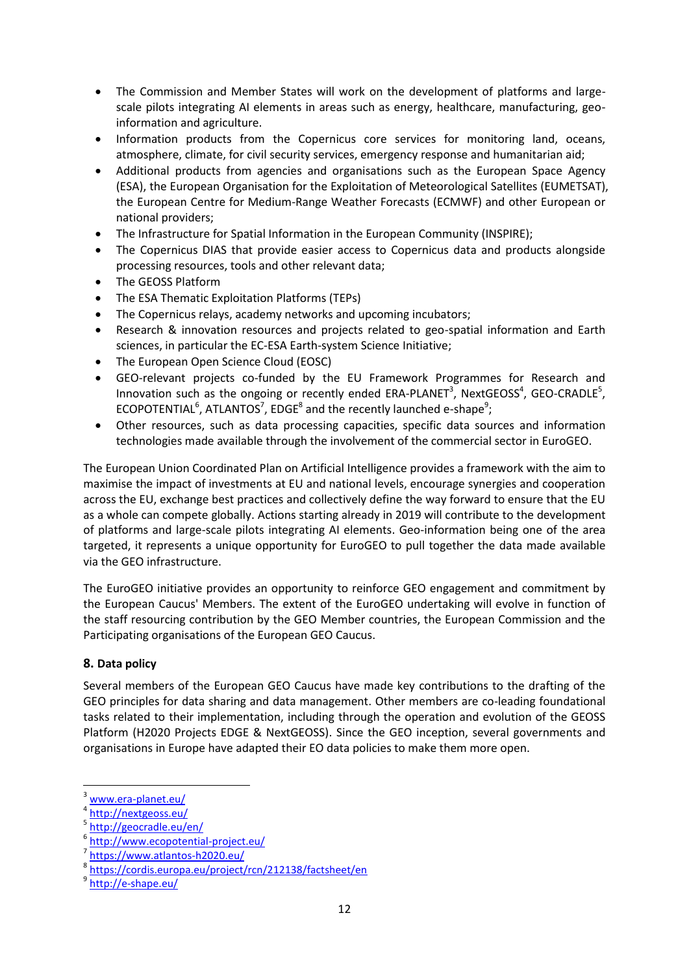- The Commission and Member States will work on the development of platforms and largescale pilots integrating AI elements in areas such as energy, healthcare, manufacturing, geoinformation and agriculture.
- Information products from the Copernicus core services for monitoring land, oceans, atmosphere, climate, for civil security services, emergency response and humanitarian aid;
- Additional products from agencies and organisations such as the European Space Agency (ESA), the European Organisation for the Exploitation of Meteorological Satellites (EUMETSAT), the European Centre for Medium-Range Weather Forecasts (ECMWF) and other European or national providers;
- The Infrastructure for Spatial Information in the European Community (INSPIRE);
- The Copernicus DIAS that provide easier access to Copernicus data and products alongside processing resources, tools and other relevant data;
- The GEOSS Platform
- The ESA Thematic Exploitation Platforms (TEPs)
- The Copernicus relays, academy networks and upcoming incubators;
- Research & innovation resources and projects related to geo-spatial information and Earth sciences, in particular the EC-ESA Earth-system Science Initiative;
- The European Open Science Cloud (EOSC)
- GEO-relevant projects co-funded by the EU Framework Programmes for Research and Innovation such as the ongoing or recently ended  $ERA-PLANET^3$ , NextGEOSS<sup>4</sup>, GEO-CRADLE<sup>5</sup>, ECOPOTENTIAL<sup>6</sup>, ATLANTOS<sup>7</sup>, EDGE<sup>8</sup> and the recently launched e-shape<sup>9</sup>;
- Other resources, such as data processing capacities, specific data sources and information technologies made available through the involvement of the commercial sector in EuroGEO.

The European Union Coordinated Plan on Artificial Intelligence provides a framework with the aim to maximise the impact of investments at EU and national levels, encourage synergies and cooperation across the EU, exchange best practices and collectively define the way forward to ensure that the EU as a whole can compete globally. Actions starting already in 2019 will contribute to the development of platforms and large-scale pilots integrating AI elements. Geo-information being one of the area targeted, it represents a unique opportunity for EuroGEO to pull together the data made available via the GEO infrastructure.

The EuroGEO initiative provides an opportunity to reinforce GEO engagement and commitment by the European Caucus' Members. The extent of the EuroGEO undertaking will evolve in function of the staff resourcing contribution by the GEO Member countries, the European Commission and the Participating organisations of the European GEO Caucus.

#### **8. Data policy**

Several members of the European GEO Caucus have made key contributions to the drafting of the GEO principles for data sharing and data management. Other members are co-leading foundational tasks related to their implementation, including through the operation and evolution of the GEOSS Platform (H2020 Projects EDGE & NextGEOSS). Since the GEO inception, several governments and organisations in Europe have adapted their EO data policies to make them more open.

 $\overline{\phantom{a}}$ 

[www.era-planet.eu/](http://www.era-planet.eu/)

<sup>4</sup> <http://nextgeoss.eu/>

<sup>5</sup> <http://geocradle.eu/en/>

<sup>6</sup> <http://www.ecopotential-project.eu/>

<sup>7</sup> <https://www.atlantos-h2020.eu/>

<sup>8</sup> <https://cordis.europa.eu/project/rcn/212138/factsheet/en>

<sup>&</sup>lt;sup>9</sup> <http://e-shape.eu/>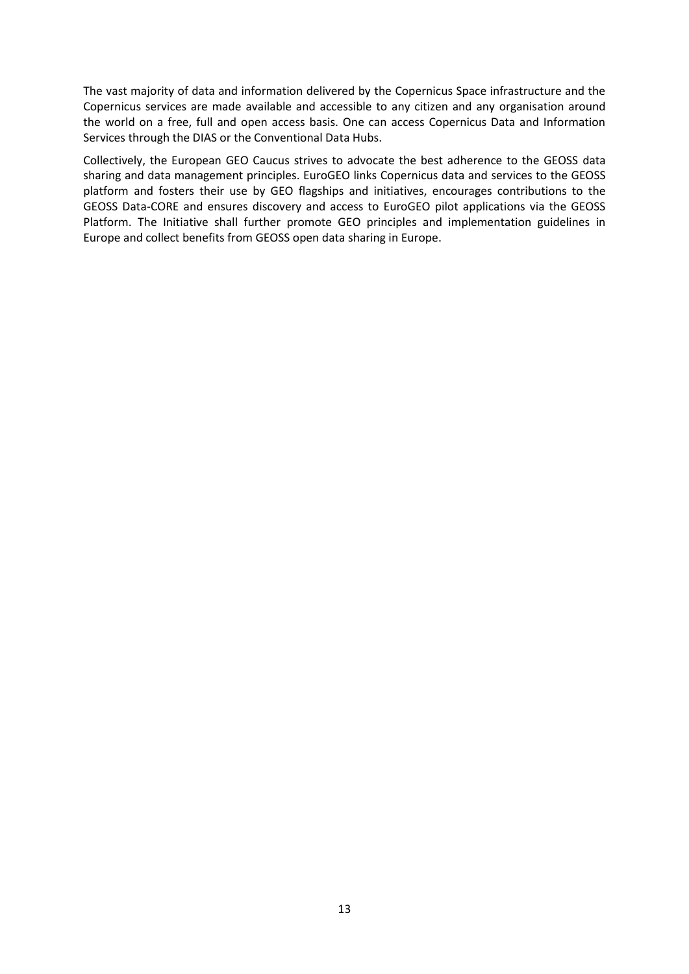The vast majority of data and information delivered by the Copernicus Space infrastructure and the Copernicus services are made available and accessible to any citizen and any organisation around the world on a free, full and open access basis. One can access Copernicus Data and Information Services through the DIAS or the Conventional Data Hubs.

Collectively, the European GEO Caucus strives to advocate the best adherence to the GEOSS data sharing and data management principles. EuroGEO links Copernicus data and services to the GEOSS platform and fosters their use by GEO flagships and initiatives, encourages contributions to the GEOSS Data-CORE and ensures discovery and access to EuroGEO pilot applications via the GEOSS Platform. The Initiative shall further promote GEO principles and implementation guidelines in Europe and collect benefits from GEOSS open data sharing in Europe.